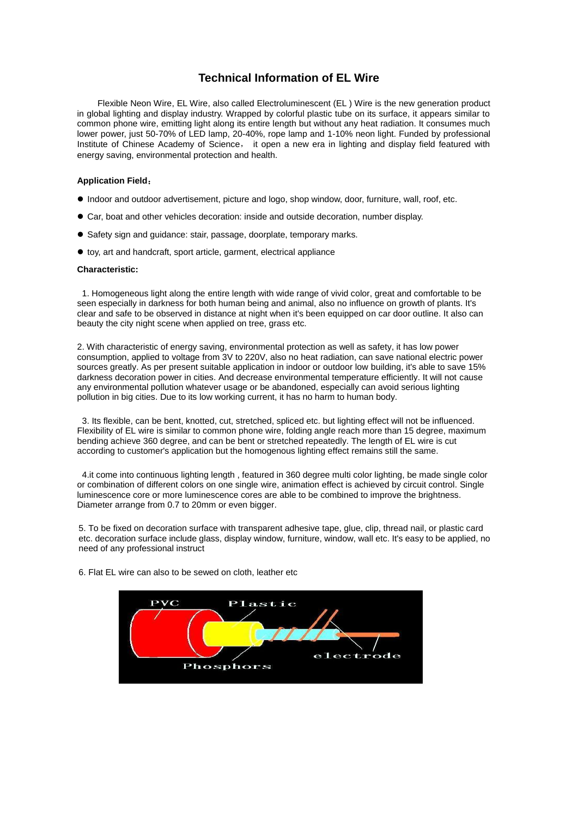## **Technical Information of EL Wire**

Flexible Neon Wire, EL Wire, also called Electroluminescent (EL ) Wire is the new generation product in global lighting and display industry. Wrapped by colorful plastic tube on its surface, it appears similar to common phone wire, emitting light along its entire length but without any heat radiation. It consumes much lower power, just 50-70% of LED lamp, 20-40%, rope lamp and 1-10% neon light. Funded by professional Institute of Chinese Academy of Science, it open a new era in lighting and display field featured with energy saving, environmental protection and health.

#### **Application Field**:

- Indoor and outdoor advertisement, picture and logo, shop window, door, furniture, wall, roof, etc.
- Car, boat and other vehicles decoration: inside and outside decoration, number display.
- Safety sign and guidance: stair, passage, doorplate, temporary marks.
- toy, art and handcraft, sport article, garment, electrical appliance

#### **Characteristic:**

1. Homogeneous light along the entire length with wide range of vivid color, great and comfortable to be seen especially in darkness for both human being and animal, also no influence on growth of plants. It's clear and safe to be observed in distance at night when it's been equipped on car door outline. It also can beauty the city night scene when applied on tree, grass etc.

2. With characteristic of energy saving, environmental protection as well as safety, it has low power consumption, applied to voltage from 3V to 220V, also no heat radiation, can save national electric power sources greatly. As per present suitable application in indoor or outdoor low building, it's able to save 15% darkness decoration power in cities. And decrease environmental temperature efficiently. It will not cause any environmental pollution whatever usage or be abandoned, especially can avoid serious lighting pollution in big cities. Due to its low working current, it has no harm to human body.

3. Its flexible, can be bent, knotted, cut, stretched, spliced etc. but lighting effect will not be influenced. Flexibility of EL wire is similar to common phone wire, folding angle reach more than 15 degree, maximum bending achieve 360 degree, and can be bent or stretched repeatedly. The length of EL wire is cut according to customer's application but the homogenous lighting effect remains still the same.

4.it come into continuous lighting length , featured in 360 degree multi color lighting, be made single color or combination of different colors on one single wire, animation effect is achieved by circuit control. Single luminescence core or more luminescence cores are able to be combined to improve the brightness. Diameter arrange from 0.7 to 20mm or even bigger.

5. To be fixed on decoration surface with transparent adhesive tape, glue, clip, thread nail, or plastic card etc. decoration surface include glass, display window, furniture, window, wall etc. It's easy to be applied, no need of any professional instruct



6. Flat EL wire can also to be sewed on cloth, leather etc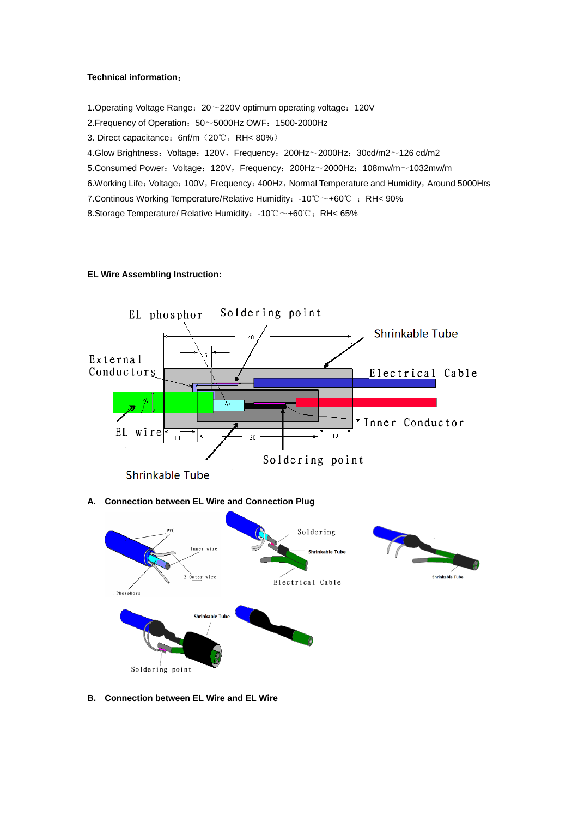#### **Technical information**:

1.Operating Voltage Range:20~220V optimum operating voltage:120V 2. Frequency of Operation:  $50~5000$ Hz OWF: 1500-2000Hz 3. Direct capacitance:6nf/m(20℃,RH< 80%) 4.Glow Brightness: Voltage: 120V, Frequency: 200Hz~2000Hz: 30cd/m2~126 cd/m2 5.Consumed Power: Voltage: 120V, Frequency: 200Hz~2000Hz: 108mw/m~1032mw/m 6.Working Life: Voltage: 100V, Frequency: 400Hz, Normal Temperature and Humidity, Around 5000Hrs 7. Continous Working Temperature/Relative Humidity: -10℃~+60℃ ; RH< 90% 8.Storage Temperature/ Relative Humidity: -10℃~+60℃; RH< 65%

### **EL Wire Assembling Instruction:**



#### **A. Connection between EL Wire and Connection Plug**



**B. Connection between EL Wire and EL Wire**